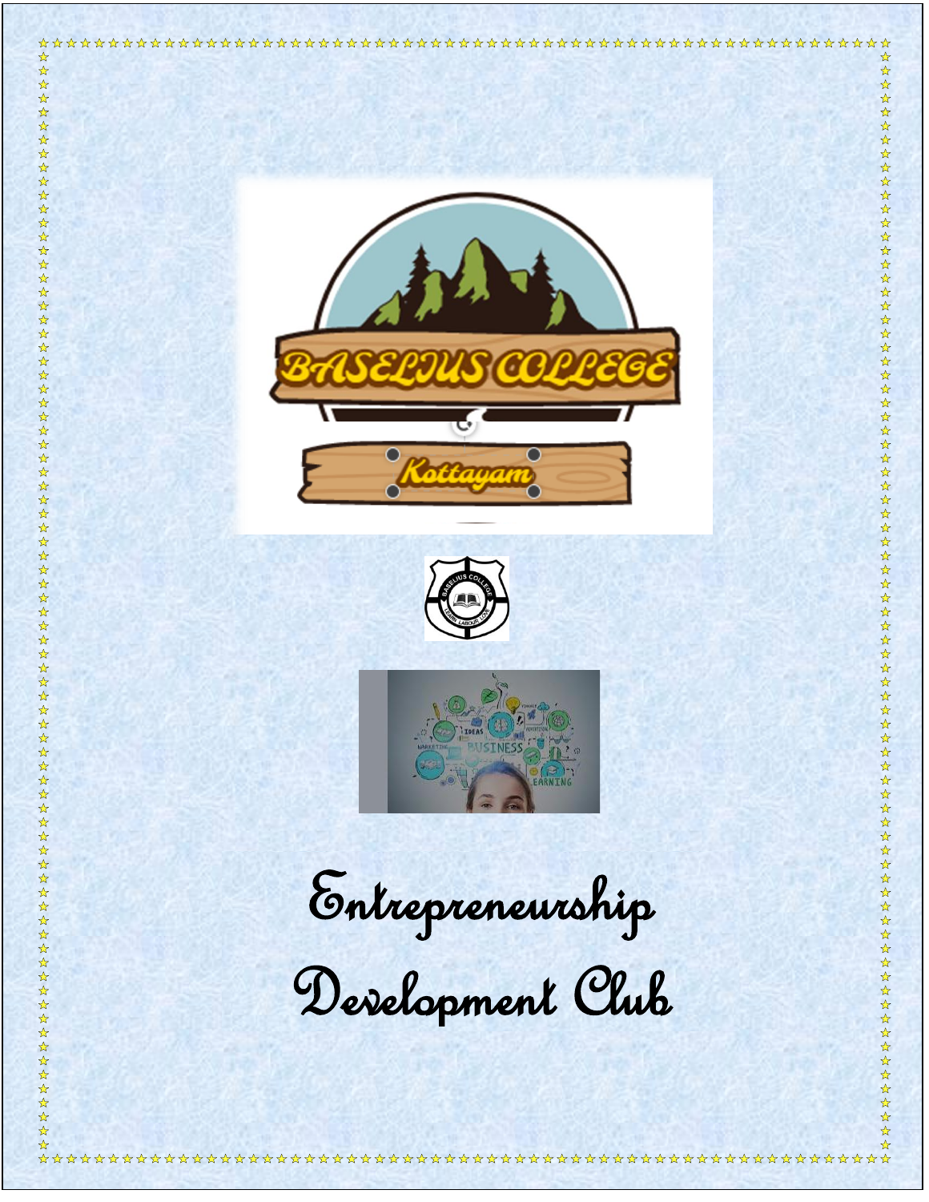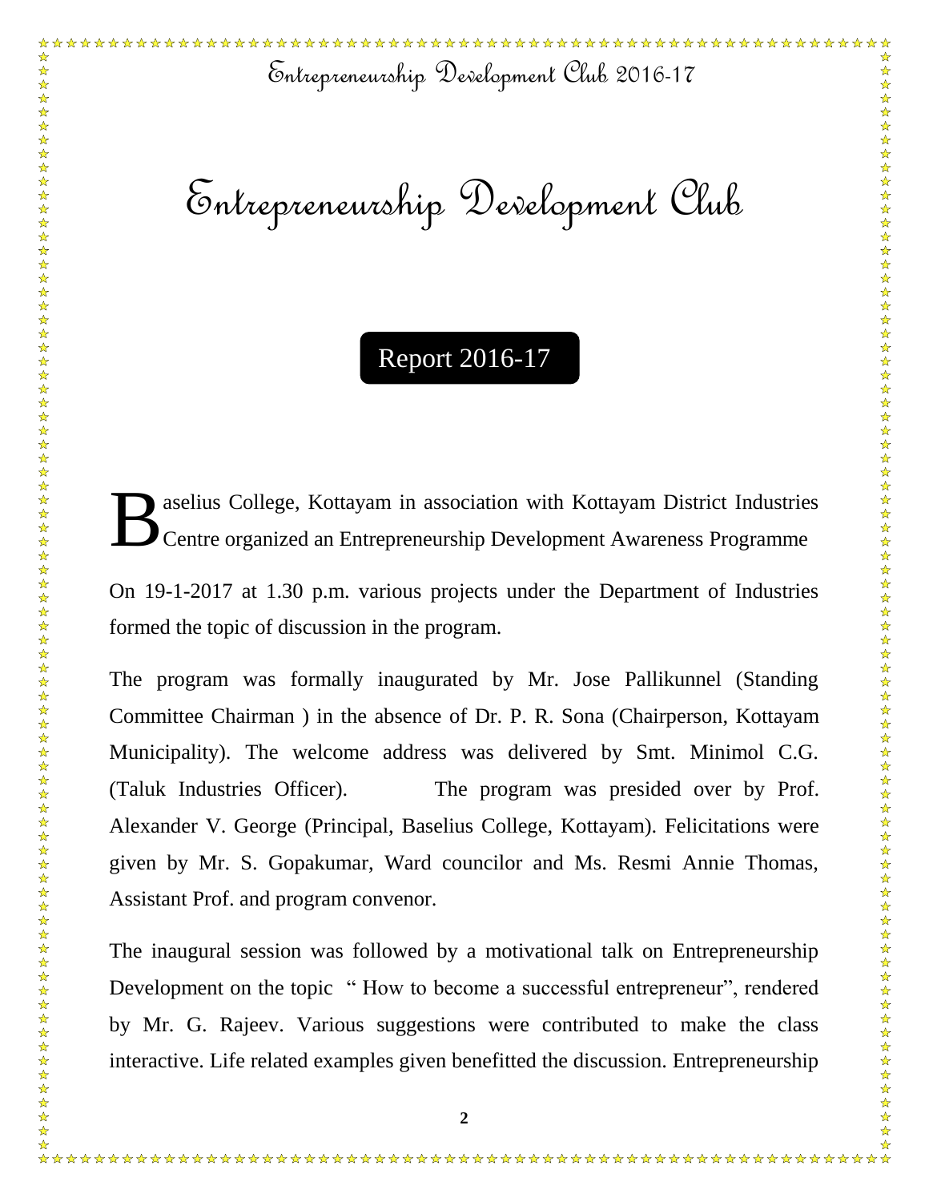Entrepreneurship Development Club 2016-17

Entrepreneurship Development Club

## Report 2016-17

aselius College, Kottayam in association with Kottayam District Industries Centre organized an Entrepreneurship Development Awareness Programme B

On 19-1-2017 at 1.30 p.m. various projects under the Department of Industries formed the topic of discussion in the program.

The program was formally inaugurated by Mr. Jose Pallikunnel (Standing Committee Chairman ) in the absence of Dr. P. R. Sona (Chairperson, Kottayam Municipality). The welcome address was delivered by Smt. Minimol C.G. (Taluk Industries Officer). The program was presided over by Prof. Alexander V. George (Principal, Baselius College, Kottayam). Felicitations were given by Mr. S. Gopakumar, Ward councilor and Ms. Resmi Annie Thomas, Assistant Prof. and program convenor.

The inaugural session was followed by a motivational talk on Entrepreneurship Development on the topic " How to become a successful entrepreneur", rendered by Mr. G. Rajeev. Various suggestions were contributed to make the class interactive. Life related examples given benefitted the discussion. Entrepreneurship